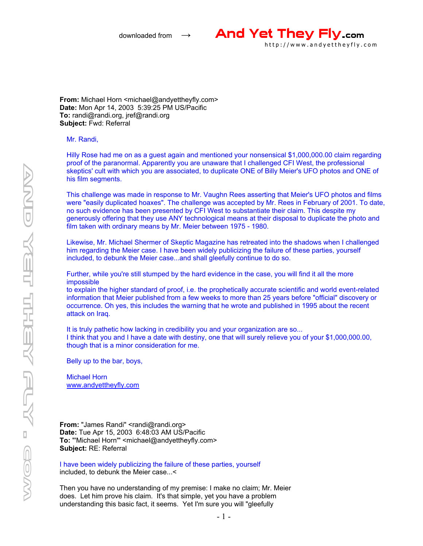

**From:** Michael Horn <michael@andyettheyfly.com> **Date:** Mon Apr 14, 2003 5:39:25 PM US/Pacific **To:** randi@randi.org, jref@randi.org **Subject:** Fwd: Referral

Mr. Randi,

Hilly Rose had me on as a guest again and mentioned your nonsensical \$1,000,000.00 claim regarding proof of the paranormal. Apparently you are unaware that I challenged CFI West, the professional skeptics' cult with which you are associated, to duplicate ONE of Billy Meier's UFO photos and ONE of his film segments.

This challenge was made in response to Mr. Vaughn Rees asserting that Meier's UFO photos and films were "easily duplicated hoaxes". The challenge was accepted by Mr. Rees in February of 2001. To date, no such evidence has been presented by CFI West to substantiate their claim. This despite my generously offering that they use ANY technological means at their disposal to duplicate the photo and film taken with ordinary means by Mr. Meier between 1975 - 1980.

Likewise, Mr. Michael Shermer of Skeptic Magazine has retreated into the shadows when I challenged him regarding the Meier case. I have been widely publicizing the failure of these parties, yourself included, to debunk the Meier case...and shall gleefully continue to do so.

Further, while you're still stumped by the hard evidence in the case, you will find it all the more impossible

to explain the higher standard of proof, i.e. the prophetically accurate scientific and world event-related information that Meier published from a few weeks to more than 25 years before "official" discovery or occurrence. Oh yes, this includes the warning that he wrote and published in 1995 about the recent attack on Iraq.

It is truly pathetic how lacking in credibility you and your organization are so... I think that you and I have a date with destiny, one that will surely relieve you of your \$1,000,000.00, though that is a minor consideration for me.

Belly up to the bar, boys,

Michael Horn www.andyettheyfly.com

From: "James Randi" <randi@randi.org> **Date:** Tue Apr 15, 2003 6:48:03 AM US/Pacific **To:** "'Michael Horn'" <michael@andyettheyfly.com> **Subject:** RE: Referral

I have been widely publicizing the failure of these parties, yourself included, to debunk the Meier case...<

Then you have no understanding of my premise: I make no claim; Mr. Meier does. Let him prove his claim. It's that simple, yet you have a problem understanding this basic fact, it seems. Yet I'm sure you will "gleefully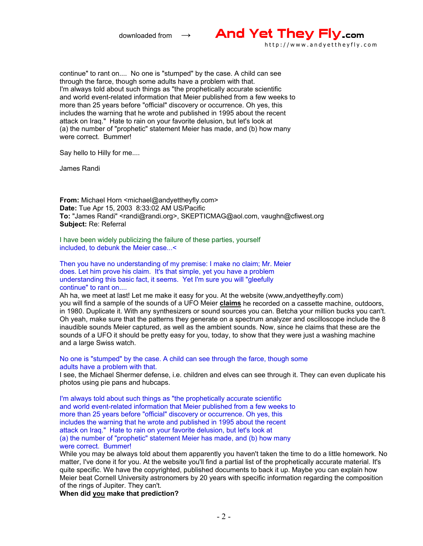

continue" to rant on.... No one is "stumped" by the case. A child can see through the farce, though some adults have a problem with that. I'm always told about such things as "the prophetically accurate scientific and world event-related information that Meier published from a few weeks to more than 25 years before "official" discovery or occurrence. Oh yes, this includes the warning that he wrote and published in 1995 about the recent attack on Iraq." Hate to rain on your favorite delusion, but let's look at (a) the number of "prophetic" statement Meier has made, and (b) how many were correct. Bummer!

Say hello to Hilly for me....

James Randi

**From:** Michael Horn <michael@andyettheyfly.com> **Date:** Tue Apr 15, 2003 8:33:02 AM US/Pacific **To:** "James Randi" <randi@randi.org>, SKEPTICMAG@aol.com, vaughn@cfiwest.org **Subject:** Re: Referral

I have been widely publicizing the failure of these parties, yourself included, to debunk the Meier case...<

Then you have no understanding of my premise: I make no claim; Mr. Meier does. Let him prove his claim. It's that simple, yet you have a problem understanding this basic fact, it seems. Yet I'm sure you will "gleefully continue" to rant on....

Ah ha, we meet at last! Let me make it easy for you. At the website (www,andyettheyfly.com) you will find a sample of the sounds of a UFO Meier **claims** he recorded on a cassette machine, outdoors, in 1980. Duplicate it. With any synthesizers or sound sources you can. Betcha your million bucks you can't. Oh yeah, make sure that the patterns they generate on a spectrum analyzer and oscilloscope include the 8 inaudible sounds Meier captured, as well as the ambient sounds. Now, since he claims that these are the sounds of a UFO it should be pretty easy for you, today, to show that they were just a washing machine and a large Swiss watch.

## No one is "stumped" by the case. A child can see through the farce, though some adults have a problem with that.

I see, the Michael Shermer defense, i.e. children and elves can see through it. They can even duplicate his photos using pie pans and hubcaps.

I'm always told about such things as "the prophetically accurate scientific and world event-related information that Meier published from a few weeks to more than 25 years before "official" discovery or occurrence. Oh yes, this includes the warning that he wrote and published in 1995 about the recent attack on Iraq." Hate to rain on your favorite delusion, but let's look at (a) the number of "prophetic" statement Meier has made, and (b) how many were correct. Bummer!

While you may be always told about them apparently you haven't taken the time to do a little homework. No matter, I've done it for you. At the website you'll find a partial list of the prophetically accurate material. It's quite specific. We have the copyrighted, published documents to back it up. Maybe you can explain how Meier beat Cornell University astronomers by 20 years with specific information regarding the composition of the rings of Jupiter. They can't.

**When did you make that prediction?**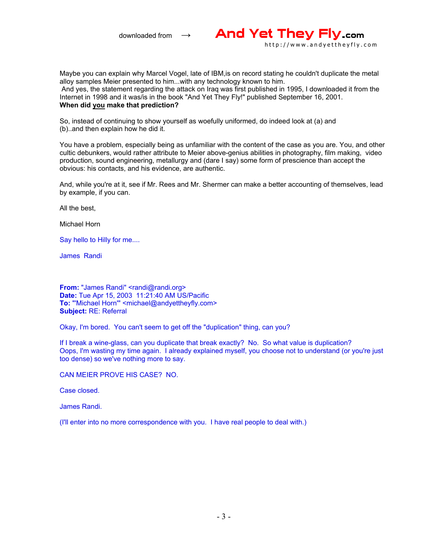

Maybe you can explain why Marcel Vogel, late of IBM,is on record stating he couldn't duplicate the metal alloy samples Meier presented to him...with any technology known to him. And yes, the statement regarding the attack on Iraq was first published in 1995, I downloaded it from the Internet in 1998 and it was/is in the book "And Yet They Fly!" published September 16, 2001. **When did you make that prediction?**

So, instead of continuing to show yourself as woefully uniformed, do indeed look at (a) and (b)..and then explain how he did it.

You have a problem, especially being as unfamiliar with the content of the case as you are. You, and other cultic debunkers, would rather attribute to Meier above-genius abilities in photography, film making, video production, sound engineering, metallurgy and (dare I say) some form of prescience than accept the obvious: his contacts, and his evidence, are authentic.

And, while you're at it, see if Mr. Rees and Mr. Shermer can make a better accounting of themselves, lead by example, if you can.

All the best,

Michael Horn

Say hello to Hilly for me....

James Randi

**From:** "James Randi" <randi@randi.org> **Date:** Tue Apr 15, 2003 11:21:40 AM US/Pacific **To: "'Michael Horn'" <michael@andyettheyfly.com> Subject:** RE: Referral

Okay, I'm bored. You can't seem to get off the "duplication" thing, can you?

If I break a wine-glass, can you duplicate that break exactly? No. So what value is duplication? Oops, I'm wasting my time again. I already explained myself, you choose not to understand (or you're just too dense) so we've nothing more to say.

CAN MEIER PROVE HIS CASE? NO.

Case closed.

James Randi.

(I'll enter into no more correspondence with you. I have real people to deal with.)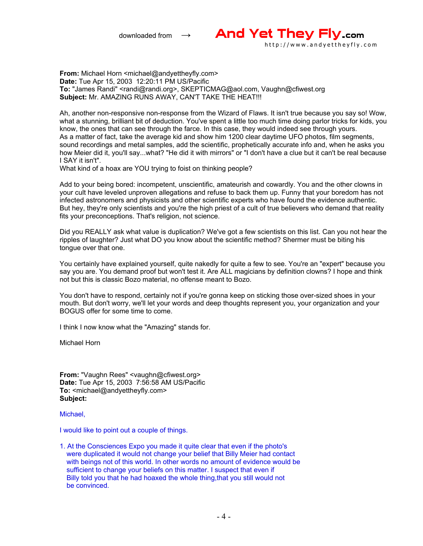

**From:** Michael Horn <michael@andyettheyfly.com> **Date:** Tue Apr 15, 2003 12:20:11 PM US/Pacific **To:** "James Randi" <randi@randi.org>, SKEPTICMAG@aol.com, Vaughn@cfiwest.org **Subject:** Mr. AMAZING RUNS AWAY, CAN'T TAKE THE HEAT!!!

Ah, another non-responsive non-response from the Wizard of Flaws. It isn't true because you say so! Wow, what a stunning, brilliant bit of deduction. You've spent a little too much time doing parlor tricks for kids, you know, the ones that can see through the farce. In this case, they would indeed see through yours. As a matter of fact, take the average kid and show him 1200 clear daytime UFO photos, film segments, sound recordings and metal samples, add the scientific, prophetically accurate info and, when he asks you how Meier did it, you'll say...what? "He did it with mirrors" or "I don't have a clue but it can't be real because I SAY it isn't".

What kind of a hoax are YOU trying to foist on thinking people?

Add to your being bored: incompetent, unscientific, amateurish and cowardly. You and the other clowns in your cult have leveled unproven allegations and refuse to back them up. Funny that your boredom has not infected astronomers and physicists and other scientific experts who have found the evidence authentic. But hey, they're only scientists and you're the high priest of a cult of true believers who demand that reality fits your preconceptions. That's religion, not science.

Did you REALLY ask what value is duplication? We've got a few scientists on this list. Can you not hear the ripples of laughter? Just what DO you know about the scientific method? Shermer must be biting his tongue over that one.

You certainly have explained yourself, quite nakedly for quite a few to see. You're an "expert" because you say you are. You demand proof but won't test it. Are ALL magicians by definition clowns? I hope and think not but this is classic Bozo material, no offense meant to Bozo.

You don't have to respond, certainly not if you're gonna keep on sticking those over-sized shoes in your mouth. But don't worry, we'll let your words and deep thoughts represent you, your organization and your BOGUS offer for some time to come.

I think I now know what the "Amazing" stands for.

Michael Horn

**From:** "Vaughn Rees" <vaughn@cfiwest.org> **Date:** Tue Apr 15, 2003 7:56:58 AM US/Pacific **To: <michael@andyettheyfly.com> Subject:** 

Michael,

I would like to point out a couple of things.

1. At the Consciences Expo you made it quite clear that even if the photo's were duplicated it would not change your belief that Billy Meier had contact with beings not of this world. In other words no amount of evidence would be sufficient to change your beliefs on this matter. I suspect that even if Billy told you that he had hoaxed the whole thing,that you still would not be convinced.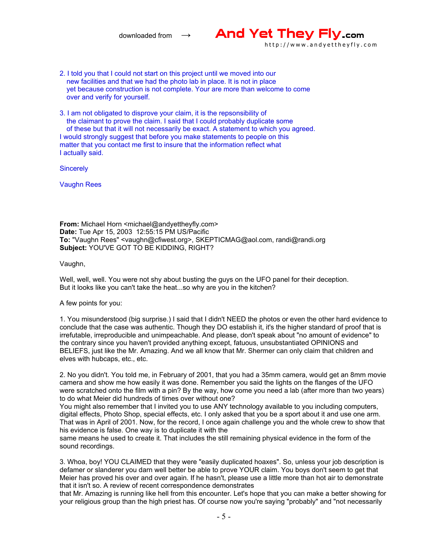

- 2. I told you that I could not start on this project until we moved into our new facilities and that we had the photo lab in place. It is not in place yet because construction is not complete. Your are more than welcome to come over and verify for yourself.
- 3. I am not obligated to disprove your claim, it is the repsonsibility of the claimant to prove the claim. I said that I could probably duplicate some of these but that it will not necessarily be exact. A statement to which you agreed. I would strongly suggest that before you make statements to people on this matter that you contact me first to insure that the information reflect what I actually said.

**Sincerely** 

Vaughn Rees

**From:** Michael Horn <michael@andyettheyfly.com> **Date:** Tue Apr 15, 2003 12:55:15 PM US/Pacific **To:** "Vaughn Rees" <vaughn@cfiwest.org>, SKEPTICMAG@aol.com, randi@randi.org **Subject:** YOU'VE GOT TO BE KIDDING, RIGHT?

Vaughn,

Well, well, well. You were not shy about busting the guys on the UFO panel for their deception. But it looks like you can't take the heat...so why are you in the kitchen?

A few points for you:

1. You misunderstood (big surprise.) I said that I didn't NEED the photos or even the other hard evidence to conclude that the case was authentic. Though they DO establish it, it's the higher standard of proof that is irrefutable, irreproducible and unimpeachable. And please, don't speak about "no amount of evidence" to the contrary since you haven't provided anything except, fatuous, unsubstantiated OPINIONS and BELIEFS, just like the Mr. Amazing. And we all know that Mr. Shermer can only claim that children and elves with hubcaps, etc., etc.

2. No you didn't. You told me, in February of 2001, that you had a 35mm camera, would get an 8mm movie camera and show me how easily it was done. Remember you said the lights on the flanges of the UFO were scratched onto the film with a pin? By the way, how come you need a lab (after more than two years) to do what Meier did hundreds of times over without one?

You might also remember that I invited you to use ANY technology available to you including computers, digital effects, Photo Shop, special effects, etc. I only asked that you be a sport about it and use one arm. That was in April of 2001. Now, for the record, I once again challenge you and the whole crew to show that his evidence is false. One way is to duplicate it with the

same means he used to create it. That includes the still remaining physical evidence in the form of the sound recordings.

3. Whoa, boy! YOU CLAIMED that they were "easily duplicated hoaxes". So, unless your job description is defamer or slanderer you darn well better be able to prove YOUR claim. You boys don't seem to get that Meier has proved his over and over again. If he hasn't, please use a little more than hot air to demonstrate that it isn't so. A review of recent correspondence demonstrates

that Mr. Amazing is running like hell from this encounter. Let's hope that you can make a better showing for your religious group than the high priest has. Of course now you're saying "probably" and "not necessarily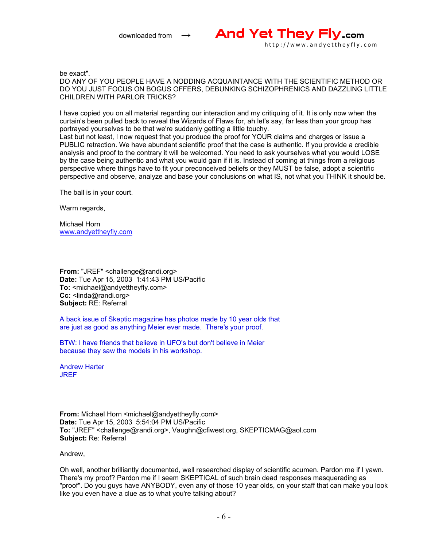

be exact".

DO ANY OF YOU PEOPLE HAVE A NODDING ACQUAINTANCE WITH THE SCIENTIFIC METHOD OR DO YOU JUST FOCUS ON BOGUS OFFERS, DEBUNKING SCHIZOPHRENICS AND DAZZLING LITTLE CHILDREN WITH PARLOR TRICKS?

I have copied you on all material regarding our interaction and my critiquing of it. It is only now when the curtain's been pulled back to reveal the Wizards of Flaws for, ah let's say, far less than your group has portrayed yourselves to be that we're suddenly getting a little touchy.

Last but not least, I now request that you produce the proof for YOUR claims and charges or issue a PUBLIC retraction. We have abundant scientific proof that the case is authentic. If you provide a credible analysis and proof to the contrary it will be welcomed. You need to ask yourselves what you would LOSE by the case being authentic and what you would gain if it is. Instead of coming at things from a religious perspective where things have to fit your preconceived beliefs or they MUST be false, adopt a scientific perspective and observe, analyze and base your conclusions on what IS, not what you THINK it should be.

The ball is in your court.

Warm regards,

Michael Horn www.andyettheyfly.com

**From:** "JREF" <challenge@randi.org> **Date:** Tue Apr 15, 2003 1:41:43 PM US/Pacific **To:** <michael@andyettheyfly.com> **Cc:** <linda@randi.org> **Subject:** RE: Referral

A back issue of Skeptic magazine has photos made by 10 year olds that are just as good as anything Meier ever made. There's your proof.

BTW: I have friends that believe in UFO's but don't believe in Meier because they saw the models in his workshop.

Andrew Harter **JREF** 

**From:** Michael Horn <michael@andyettheyfly.com> **Date:** Tue Apr 15, 2003 5:54:04 PM US/Pacific **To:** "JREF" <challenge@randi.org>, Vaughn@cfiwest.org, SKEPTICMAG@aol.com **Subject:** Re: Referral

Andrew,

Oh well, another brilliantly documented, well researched display of scientific acumen. Pardon me if I yawn. There's my proof? Pardon me if I seem SKEPTICAL of such brain dead responses masquerading as "proof". Do you guys have ANYBODY, even any of those 10 year olds, on your staff that can make you look like you even have a clue as to what you're talking about?